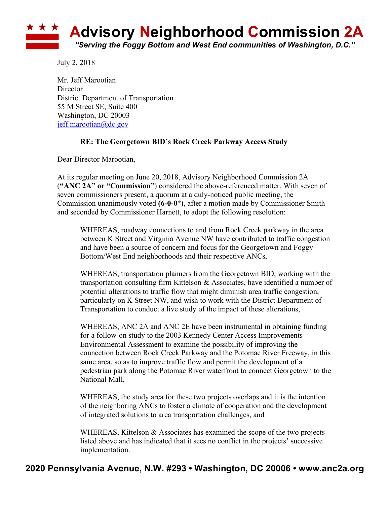

July 2, 2018

Mr. Jeff Marootian **Director** District Department of Transportation 55 M Street SE, Suite 400 Washington, DC 20003 jeff.marootian@dc.gov

## **RE: The Georgetown BID's Rock Creek Parkway Access Study**

Dear Director Marootian,

At its regular meeting on June 20, 2018, Advisory Neighborhood Commission 2A (**"ANC 2A" or "Commission"**) considered the above-referenced matter. With seven of seven commissioners present, a quorum at a duly-noticed public meeting, the Commission unanimously voted **(6-0-0\*)**, after a motion made by Commissioner Smith and seconded by Commissioner Harnett, to adopt the following resolution:

WHEREAS, roadway connections to and from Rock Creek parkway in the area between K Street and Virginia Avenue NW have contributed to traffic congestion and have been a source of concern and focus for the Georgetown and Foggy Bottom/West End neighborhoods and their respective ANCs,

WHEREAS, transportation planners from the Georgetown BID, working with the transportation consulting firm Kittelson & Associates, have identified a number of potential alterations to traffic flow that might diminish area traffic congestion, particularly on K Street NW, and wish to work with the District Department of Transportation to conduct a live study of the impact of these alterations,

WHEREAS, ANC 2A and ANC 2E have been instrumental in obtaining funding for a follow-on study to the 2003 Kennedy Center Access Improvements Environmental Assessment to examine the possibility of improving the connection between Rock Creek Parkway and the Potomac River Freeway, in this same area, so as to improve traffic flow and permit the development of a pedestrian park along the Potomac River waterfront to connect Georgetown to the National Mall,

WHEREAS, the study area for these two projects overlaps and it is the intention of the neighboring ANCs to foster a climate of cooperation and the development of integrated solutions to area transportation challenges, and

WHEREAS, Kittelson & Associates has examined the scope of the two projects listed above and has indicated that it sees no conflict in the projects' successive implementation.